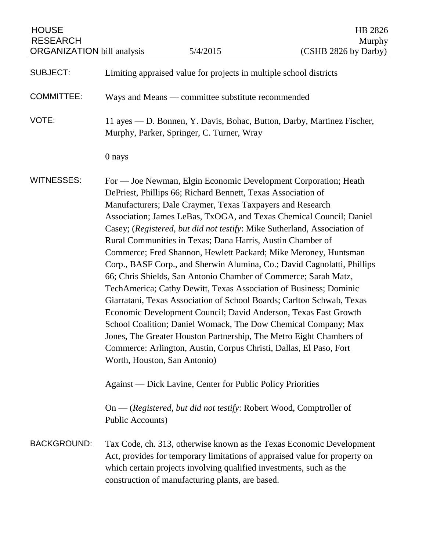| <b>HOUSE</b><br><b>RESEARCH</b><br><b>ORGANIZATION</b> bill analysis |                                                                                                                     | 5/4/2015                                                                                                                                                                                | HB 2826<br>Murphy<br>(CSHB 2826 by Darby)                                                                                                                                                                                                                                                                                                                                                                                                                                                                                                                                                                                                                                                                                                                                                                                                                           |
|----------------------------------------------------------------------|---------------------------------------------------------------------------------------------------------------------|-----------------------------------------------------------------------------------------------------------------------------------------------------------------------------------------|---------------------------------------------------------------------------------------------------------------------------------------------------------------------------------------------------------------------------------------------------------------------------------------------------------------------------------------------------------------------------------------------------------------------------------------------------------------------------------------------------------------------------------------------------------------------------------------------------------------------------------------------------------------------------------------------------------------------------------------------------------------------------------------------------------------------------------------------------------------------|
| <b>SUBJECT:</b>                                                      |                                                                                                                     | Limiting appraised value for projects in multiple school districts                                                                                                                      |                                                                                                                                                                                                                                                                                                                                                                                                                                                                                                                                                                                                                                                                                                                                                                                                                                                                     |
| <b>COMMITTEE:</b>                                                    |                                                                                                                     | Ways and Means — committee substitute recommended                                                                                                                                       |                                                                                                                                                                                                                                                                                                                                                                                                                                                                                                                                                                                                                                                                                                                                                                                                                                                                     |
| VOTE:                                                                | 11 ayes — D. Bonnen, Y. Davis, Bohac, Button, Darby, Martinez Fischer,<br>Murphy, Parker, Springer, C. Turner, Wray |                                                                                                                                                                                         |                                                                                                                                                                                                                                                                                                                                                                                                                                                                                                                                                                                                                                                                                                                                                                                                                                                                     |
|                                                                      | 0 nays                                                                                                              |                                                                                                                                                                                         |                                                                                                                                                                                                                                                                                                                                                                                                                                                                                                                                                                                                                                                                                                                                                                                                                                                                     |
| <b>WITNESSES:</b>                                                    | Worth, Houston, San Antonio)                                                                                        | DePriest, Phillips 66; Richard Bennett, Texas Association of<br>Manufacturers; Dale Craymer, Texas Taxpayers and Research<br>Rural Communities in Texas; Dana Harris, Austin Chamber of | For — Joe Newman, Elgin Economic Development Corporation; Heath<br>Association; James LeBas, TxOGA, and Texas Chemical Council; Daniel<br>Casey; (Registered, but did not testify: Mike Sutherland, Association of<br>Commerce; Fred Shannon, Hewlett Packard; Mike Meroney, Huntsman<br>Corp., BASF Corp., and Sherwin Alumina, Co.; David Cagnolatti, Phillips<br>66; Chris Shields, San Antonio Chamber of Commerce; Sarah Matz,<br>TechAmerica; Cathy Dewitt, Texas Association of Business; Dominic<br>Giarratani, Texas Association of School Boards; Carlton Schwab, Texas<br>Economic Development Council; David Anderson, Texas Fast Growth<br>School Coalition; Daniel Womack, The Dow Chemical Company; Max<br>Jones, The Greater Houston Partnership, The Metro Eight Chambers of<br>Commerce: Arlington, Austin, Corpus Christi, Dallas, El Paso, Fort |
|                                                                      |                                                                                                                     | <b>Against</b> — Dick Lavine, Center for Public Policy Priorities                                                                                                                       |                                                                                                                                                                                                                                                                                                                                                                                                                                                                                                                                                                                                                                                                                                                                                                                                                                                                     |
|                                                                      | <b>Public Accounts)</b>                                                                                             |                                                                                                                                                                                         | $On - (registered, but did not testify: Robert Wood, Comptroller of$                                                                                                                                                                                                                                                                                                                                                                                                                                                                                                                                                                                                                                                                                                                                                                                                |
| <b>BACKGROUND:</b>                                                   |                                                                                                                     | which certain projects involving qualified investments, such as the<br>construction of manufacturing plants, are based.                                                                 | Tax Code, ch. 313, otherwise known as the Texas Economic Development<br>Act, provides for temporary limitations of appraised value for property on                                                                                                                                                                                                                                                                                                                                                                                                                                                                                                                                                                                                                                                                                                                  |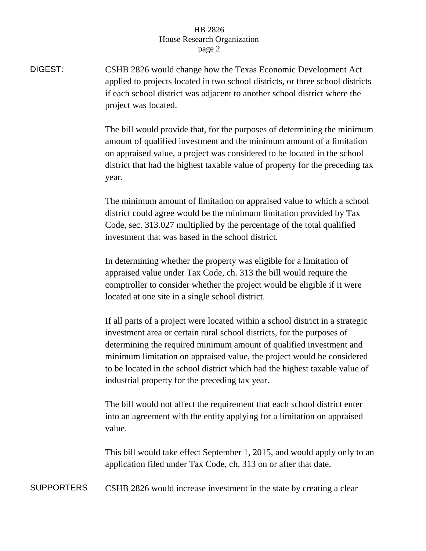## HB 2826 House Research Organization page 2

DIGEST: CSHB 2826 would change how the Texas Economic Development Act applied to projects located in two school districts, or three school districts if each school district was adjacent to another school district where the project was located.

> The bill would provide that, for the purposes of determining the minimum amount of qualified investment and the minimum amount of a limitation on appraised value, a project was considered to be located in the school district that had the highest taxable value of property for the preceding tax year.

The minimum amount of limitation on appraised value to which a school district could agree would be the minimum limitation provided by Tax Code, sec. 313.027 multiplied by the percentage of the total qualified investment that was based in the school district.

In determining whether the property was eligible for a limitation of appraised value under Tax Code, ch. 313 the bill would require the comptroller to consider whether the project would be eligible if it were located at one site in a single school district.

If all parts of a project were located within a school district in a strategic investment area or certain rural school districts, for the purposes of determining the required minimum amount of qualified investment and minimum limitation on appraised value, the project would be considered to be located in the school district which had the highest taxable value of industrial property for the preceding tax year.

The bill would not affect the requirement that each school district enter into an agreement with the entity applying for a limitation on appraised value.

This bill would take effect September 1, 2015, and would apply only to an application filed under Tax Code, ch. 313 on or after that date.

SUPPORTERS CSHB 2826 would increase investment in the state by creating a clear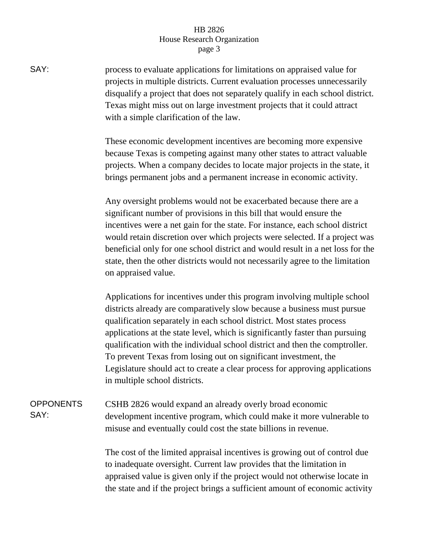## HB 2826 House Research Organization page 3

SAY: process to evaluate applications for limitations on appraised value for projects in multiple districts. Current evaluation processes unnecessarily disqualify a project that does not separately qualify in each school district. Texas might miss out on large investment projects that it could attract with a simple clarification of the law.

> These economic development incentives are becoming more expensive because Texas is competing against many other states to attract valuable projects. When a company decides to locate major projects in the state, it brings permanent jobs and a permanent increase in economic activity.

Any oversight problems would not be exacerbated because there are a significant number of provisions in this bill that would ensure the incentives were a net gain for the state. For instance, each school district would retain discretion over which projects were selected. If a project was beneficial only for one school district and would result in a net loss for the state, then the other districts would not necessarily agree to the limitation on appraised value.

Applications for incentives under this program involving multiple school districts already are comparatively slow because a business must pursue qualification separately in each school district. Most states process applications at the state level, which is significantly faster than pursuing qualification with the individual school district and then the comptroller. To prevent Texas from losing out on significant investment, the Legislature should act to create a clear process for approving applications in multiple school districts.

**OPPONENTS** SAY: CSHB 2826 would expand an already overly broad economic development incentive program, which could make it more vulnerable to misuse and eventually could cost the state billions in revenue.

> The cost of the limited appraisal incentives is growing out of control due to inadequate oversight. Current law provides that the limitation in appraised value is given only if the project would not otherwise locate in the state and if the project brings a sufficient amount of economic activity